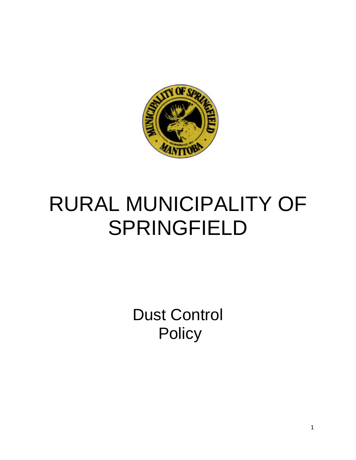

# RURAL MUNICIPALITY OF SPRINGFIELD

Dust Control **Policy**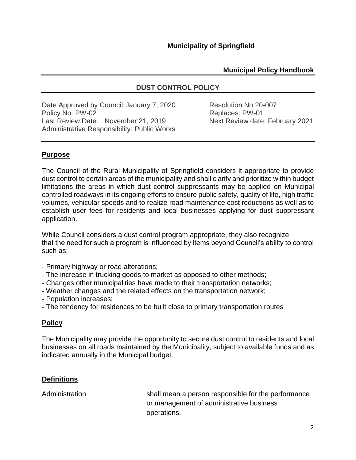# **Municipal Policy Handbook**

# **DUST CONTROL POLICY**

Date Approved by Council: January 7, 2020 Resolution No:20-007 Policy No: PW-02 **Replaces: PW-01** Replaces: PW-01 Last Review Date: November 21, 2019 Next Review date: February 2021 Administrative Responsibility: Public Works

# **Purpose**

The Council of the Rural Municipality of Springfield considers it appropriate to provide dust control to certain areas of the municipality and shall clarify and prioritize within budget limitations the areas in which dust control suppressants may be applied on Municipal controlled roadways in its ongoing efforts to ensure public safety, quality of life, high traffic volumes, vehicular speeds and to realize road maintenance cost reductions as well as to establish user fees for residents and local businesses applying for dust suppressant application.

While Council considers a dust control program appropriate, they also recognize that the need for such a program is influenced by items beyond Council's ability to control such as;

- Primary highway or road alterations;
- The increase in trucking goods to market as opposed to other methods;
- Changes other municipalities have made to their transportation networks;
- Weather changes and the related effects on the transportation network;
- Population increases;
- The tendency for residences to be built close to primary transportation routes

#### **Policy**

The Municipality may provide the opportunity to secure dust control to residents and local businesses on all roads maintained by the Municipality, subject to available funds and as indicated annually in the Municipal budget.

#### **Definitions**

Administration shall mean a person responsible for the performance or management of administrative business operations.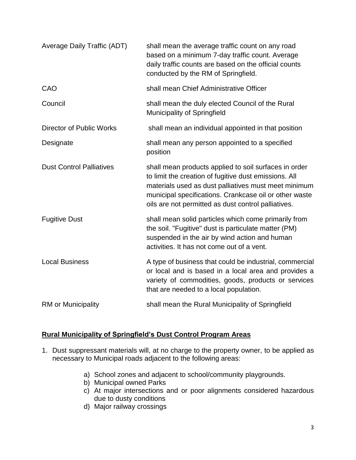| Average Daily Traffic (ADT)     | shall mean the average traffic count on any road<br>based on a minimum 7-day traffic count. Average<br>daily traffic counts are based on the official counts<br>conducted by the RM of Springfield.                                                                                     |
|---------------------------------|-----------------------------------------------------------------------------------------------------------------------------------------------------------------------------------------------------------------------------------------------------------------------------------------|
| CAO                             | shall mean Chief Administrative Officer                                                                                                                                                                                                                                                 |
| Council                         | shall mean the duly elected Council of the Rural<br>Municipality of Springfield                                                                                                                                                                                                         |
| <b>Director of Public Works</b> | shall mean an individual appointed in that position                                                                                                                                                                                                                                     |
| Designate                       | shall mean any person appointed to a specified<br>position                                                                                                                                                                                                                              |
| <b>Dust Control Palliatives</b> | shall mean products applied to soil surfaces in order<br>to limit the creation of fugitive dust emissions. All<br>materials used as dust palliatives must meet minimum<br>municipal specifications. Crankcase oil or other waste<br>oils are not permitted as dust control palliatives. |
| <b>Fugitive Dust</b>            | shall mean solid particles which come primarily from<br>the soil. "Fugitive" dust is particulate matter (PM)<br>suspended in the air by wind action and human<br>activities. It has not come out of a vent.                                                                             |
| <b>Local Business</b>           | A type of business that could be industrial, commercial<br>or local and is based in a local area and provides a<br>variety of commodities, goods, products or services<br>that are needed to a local population.                                                                        |
| <b>RM</b> or Municipality       | shall mean the Rural Municipality of Springfield                                                                                                                                                                                                                                        |

# **Rural Municipality of Springfield's Dust Control Program Areas**

- 1. Dust suppressant materials will, at no charge to the property owner, to be applied as necessary to Municipal roads adjacent to the following areas:
	- a) School zones and adjacent to school/community playgrounds.
	- b) Municipal owned Parks
	- c) At major intersections and or poor alignments considered hazardous due to dusty conditions
	- d) Major railway crossings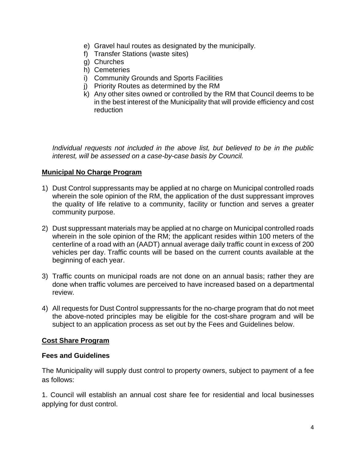- e) Gravel haul routes as designated by the municipally.
- f) Transfer Stations (waste sites)
- g) Churches
- h) Cemeteries
- i) Community Grounds and Sports Facilities
- j) Priority Routes as determined by the RM
- k) Any other sites owned or controlled by the RM that Council deems to be in the best interest of the Municipality that will provide efficiency and cost reduction

*Individual requests not included in the above list, but believed to be in the public interest, will be assessed on a case-by-case basis by Council.*

# **Municipal No Charge Program**

- 1) Dust Control suppressants may be applied at no charge on Municipal controlled roads wherein the sole opinion of the RM, the application of the dust suppressant improves the quality of life relative to a community, facility or function and serves a greater community purpose.
- 2) Dust suppressant materials may be applied at no charge on Municipal controlled roads wherein in the sole opinion of the RM; the applicant resides within 100 meters of the centerline of a road with an (AADT) annual average daily traffic count in excess of 200 vehicles per day. Traffic counts will be based on the current counts available at the beginning of each year.
- 3) Traffic counts on municipal roads are not done on an annual basis; rather they are done when traffic volumes are perceived to have increased based on a departmental review.
- 4) All requests for Dust Control suppressants for the no-charge program that do not meet the above-noted principles may be eligible for the cost-share program and will be subject to an application process as set out by the Fees and Guidelines below.

#### **Cost Share Program**

#### **Fees and Guidelines**

The Municipality will supply dust control to property owners, subject to payment of a fee as follows:

1. Council will establish an annual cost share fee for residential and local businesses applying for dust control.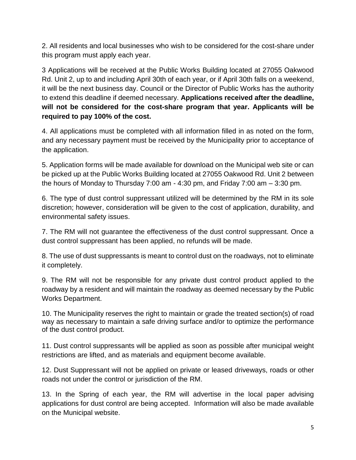2. All residents and local businesses who wish to be considered for the cost-share under this program must apply each year.

3 Applications will be received at the Public Works Building located at 27055 Oakwood Rd. Unit 2, up to and including April 30th of each year, or if April 30th falls on a weekend, it will be the next business day. Council or the Director of Public Works has the authority to extend this deadline if deemed necessary. **Applications received after the deadline, will not be considered for the cost-share program that year. Applicants will be required to pay 100% of the cost.**

4. All applications must be completed with all information filled in as noted on the form, and any necessary payment must be received by the Municipality prior to acceptance of the application.

5. Application forms will be made available for download on the Municipal web site or can be picked up at the Public Works Building located at 27055 Oakwood Rd. Unit 2 between the hours of Monday to Thursday 7:00 am - 4:30 pm, and Friday 7:00 am – 3:30 pm.

6. The type of dust control suppressant utilized will be determined by the RM in its sole discretion; however, consideration will be given to the cost of application, durability, and environmental safety issues.

7. The RM will not guarantee the effectiveness of the dust control suppressant. Once a dust control suppressant has been applied, no refunds will be made.

8. The use of dust suppressants is meant to control dust on the roadways, not to eliminate it completely.

9. The RM will not be responsible for any private dust control product applied to the roadway by a resident and will maintain the roadway as deemed necessary by the Public Works Department.

10. The Municipality reserves the right to maintain or grade the treated section(s) of road way as necessary to maintain a safe driving surface and/or to optimize the performance of the dust control product.

11. Dust control suppressants will be applied as soon as possible after municipal weight restrictions are lifted, and as materials and equipment become available.

12. Dust Suppressant will not be applied on private or leased driveways, roads or other roads not under the control or jurisdiction of the RM.

13. In the Spring of each year, the RM will advertise in the local paper advising applications for dust control are being accepted. Information will also be made available on the Municipal website.